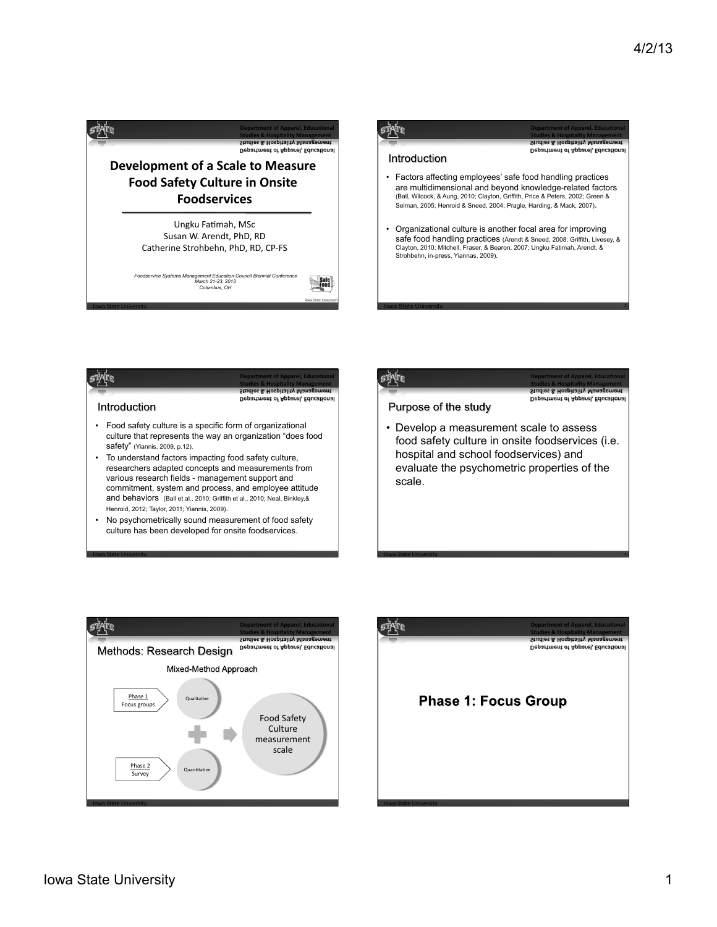







**Department of Apparel, Educational Studies & Hospitality Management** 

Department of Apparel, Educationa

Purpose of the study

• Develop a measurement scale to assess food safety culture in onsite foodservices (i.e. hospital and school foodservices) and evaluate the psychometric properties of the scale.

**1988 - Iowa State University** And The Company of the University And The Company of the University And The Company of the University And The Company of the University And The Company of the University And The Company of th





**Iowa State University**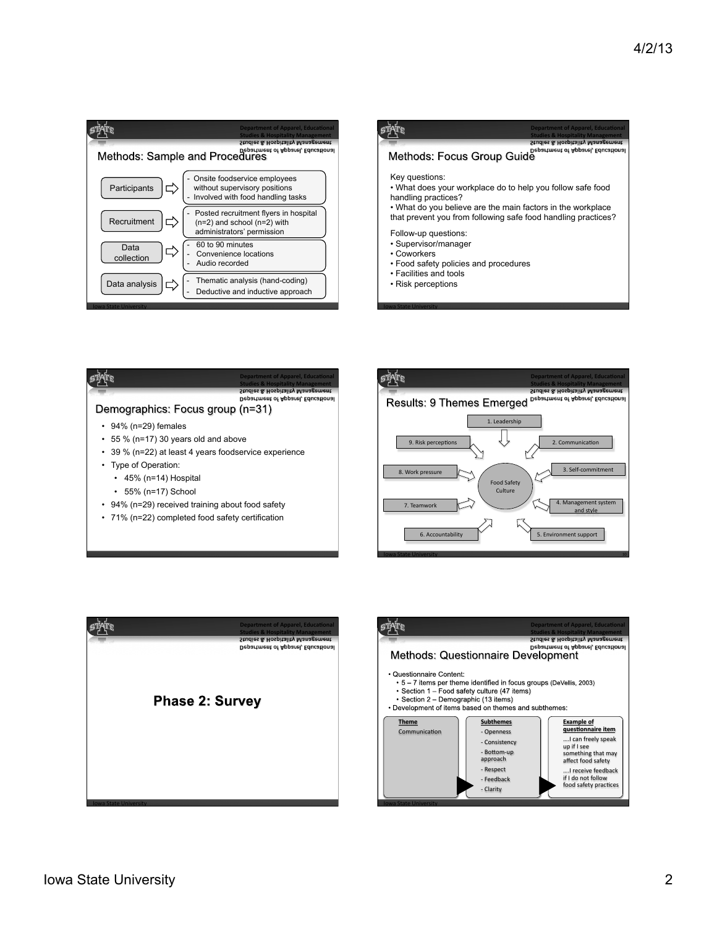









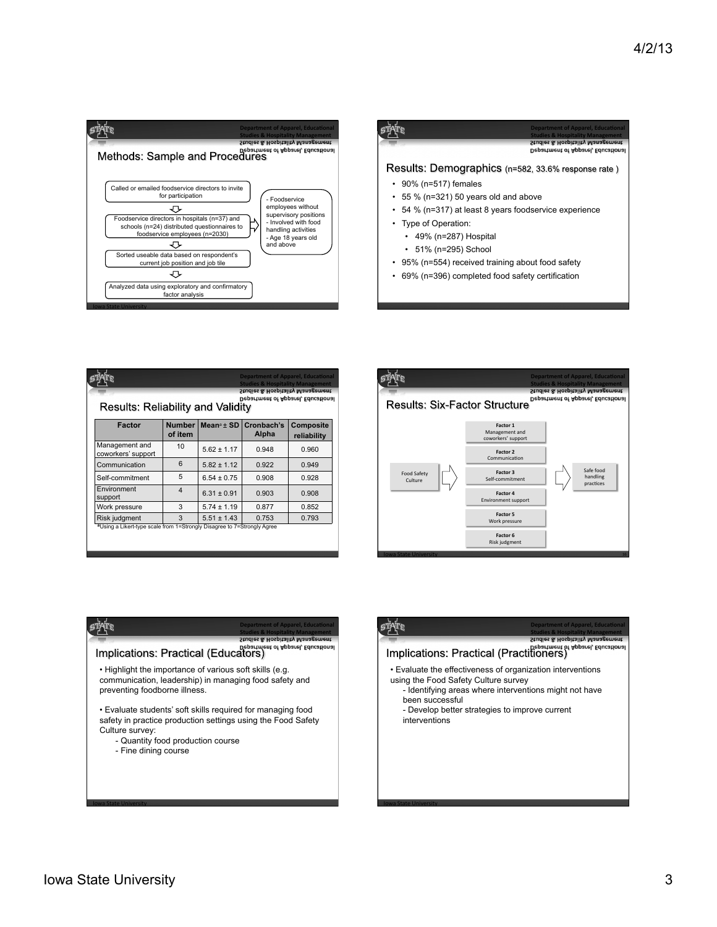

|                                                        | <b>Department of Apparel, Educational</b><br><b>Studies &amp; Hospitality Management</b><br>Studies & Hospitality Management<br>Department of Apparel, Educational |
|--------------------------------------------------------|--------------------------------------------------------------------------------------------------------------------------------------------------------------------|
|                                                        | Results: Demographics (n=582, 33.6% response rate)                                                                                                                 |
| $\cdot$ 90% (n=517) females                            |                                                                                                                                                                    |
| $\cdot$ 55 % (n=321) 50 years old and above            |                                                                                                                                                                    |
| • 54 % (n=317) at least 8 years foodservice experience |                                                                                                                                                                    |
| • Type of Operation:                                   |                                                                                                                                                                    |
| $\cdot$ 49% (n=287) Hospital                           |                                                                                                                                                                    |
| • 51% (n=295) School                                   |                                                                                                                                                                    |
| • 95% (n=554) received training about food safety      |                                                                                                                                                                    |
| 69% (n=396) completed food safety certification        |                                                                                                                                                                    |

| <b>Department of Apparel, Educational</b><br><b>Studies &amp; Hospitality Management</b><br>Studies & Hospitality Management<br><b>Department of Apparel, Educational</b><br><b>Results: Reliability and Validity</b> |                          |                                        |                     |                          |  |
|-----------------------------------------------------------------------------------------------------------------------------------------------------------------------------------------------------------------------|--------------------------|----------------------------------------|---------------------|--------------------------|--|
| <b>Factor</b>                                                                                                                                                                                                         | <b>Number</b><br>of item | Mean <sup>a</sup> $\pm$ SD $\parallel$ | Cronbach's<br>Alpha | Composite<br>reliability |  |
| Management and<br>coworkers' support                                                                                                                                                                                  | 10                       | $5.62 \pm 1.17$                        | 0.948               | 0.960                    |  |
| Communication                                                                                                                                                                                                         | 6                        | $5.82 \pm 1.12$                        | 0.922               | 0.949                    |  |
| Self-commitment                                                                                                                                                                                                       | 5                        | $6.54 \pm 0.75$                        | 0.908               | 0.928                    |  |
| Environment<br>support                                                                                                                                                                                                | $\overline{\mathbf{A}}$  | $6.31 \pm 0.91$                        | 0.903               | 0.908                    |  |
| Work pressure                                                                                                                                                                                                         | 3                        | $5.74 \pm 1.19$                        | 0.877               | 0.852                    |  |
| Risk judgment<br>aUsing a Likert-type scale from 1=Strongly Disagree to 7=Strongly Agree                                                                                                                              | 3                        | $5.51 \pm 1.43$                        | 0.753               | 0.793                    |  |







**Iowa State University** 

**Iowa State University**